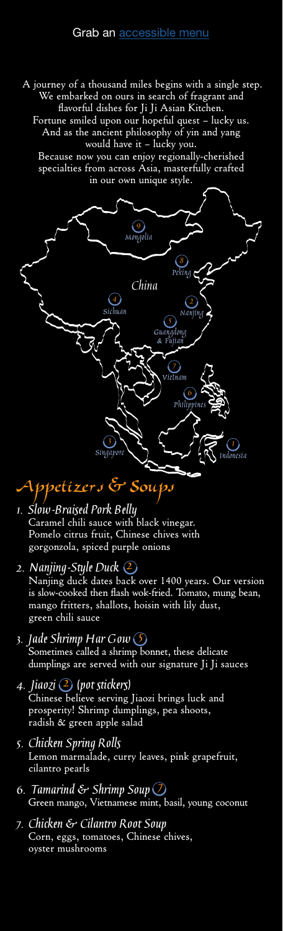A journey of a thousand miles begins with a single step. We embarked on ours in search of fragrant and flavorful dishes for Ji Ji Asian Kitchen.

Fortune smiled upon our hopeful quest – lucky us. And as the ancient philosophy of yin and yang would have it – lucky you.

Because now you can enjoy regionally-cherished specialties from across Asia, masterfully crafted in our own unique style.



#### Appetizers **&** Soups

- **1. Slow-Braised Pork Belly** Caramel chili sauce with black vinegar. Pomelo citrus fruit, Chinese chives with gorgonzola, spiced purple onions
- **2. Nanjing-Style Duck 2** Nanjing duck dates back over 1400 years. Our version is slow-cooked then flash wok-fried. Tomato, mung bean, mango fritters, shallots, hoisin with lily dust, green chili sauce
- **3. Jade Shrimp Har Gow 5** Sometimes called a shrimp bonnet, these delicate dumplings are served with our signature Ji Ji sauces
- **4. Jiaozi 2 (pot stickers)** Chinese believe serving Jiaozi brings luck and prosperity! Shrimp dumplings, pea shoots, radish & green apple salad
- **5. Chicken Spring Rolls** Lemon marmalade, curry leaves, pink grapefruit, cilantro pearls
- **6. Tamarind & Shrimp Soup**  $\bigcirc$ Green mango, Vietnamese mint, basil, young coconut
- **7. Chicken & Cilantro Root Soup** Corn, eggs, tomatoes, Chinese chives, oyster mushrooms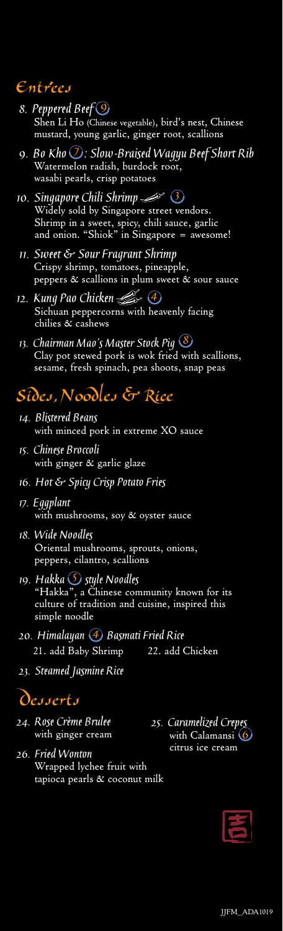### Entrees

- **8. Peppered Beef 9** Shen Li Ho (Chinese vegetable), bird's nest, Chinese mustard, young garlic, ginger root, scallions
- **9. Bo Kho 7 : Slow-Braised Wagyu Beef Short Rib** Watermelon radish, burdock root, wasabi pearls, crisp potatoes
- **10. Singapore Chili Shrimp**  Widely sold by Singapore street vendors. Shrimp in a sweet, spicy, chili sauce, garlic and onion. "Shiok" in Singapore = awesome! **3**
- **11. Sweet & Sour Fragrant Shrimp** Crispy shrimp, tomatoes, pineapple, peppers & scallions in plum sweet & sour sauce
- **12. Kung Pao Chicken 4**Sichuan peppercorns with heavenly facing chilies & cashews
- **13. Chairman Mao's Master Stock Pig 8** Clay pot stewed pork is wok fried with scallions, sesame, fresh spinach, pea shoots, snap peas

## Sides**,** Noodles **&** Rice

- **14. Blistered Beans** with minced pork in extreme XO sauce
- **15. Chinese Broccoli** with ginger & garlic glaze
- **16. Hot & Spicy Crisp Potato Fries**
- **17. Eggplant** with mushrooms, soy & oyster sauce
- **18. Wide Noodles** Oriental mushrooms, sprouts, onions, peppers, cilantro, scallions
- **19. Hakka 5 style Noodles**"Hakka", a Chinese community known for its culture of tradition and cuisine, inspired this simple noodle
- 20. Himalayan **4** Basmati Fried Rice 21. add Baby Shrimp 22. add Chicken
- **23. Steamed Jasmine Rice**

## Desserts

- **24. Rose Crème Brulee** with ginger cream
- **25. Caramelized Crepes** with Calamansi **6** citrus ice cream
- **26. Fried Wonton** Wrapped lychee fruit with tapioca pearls & coconut milk